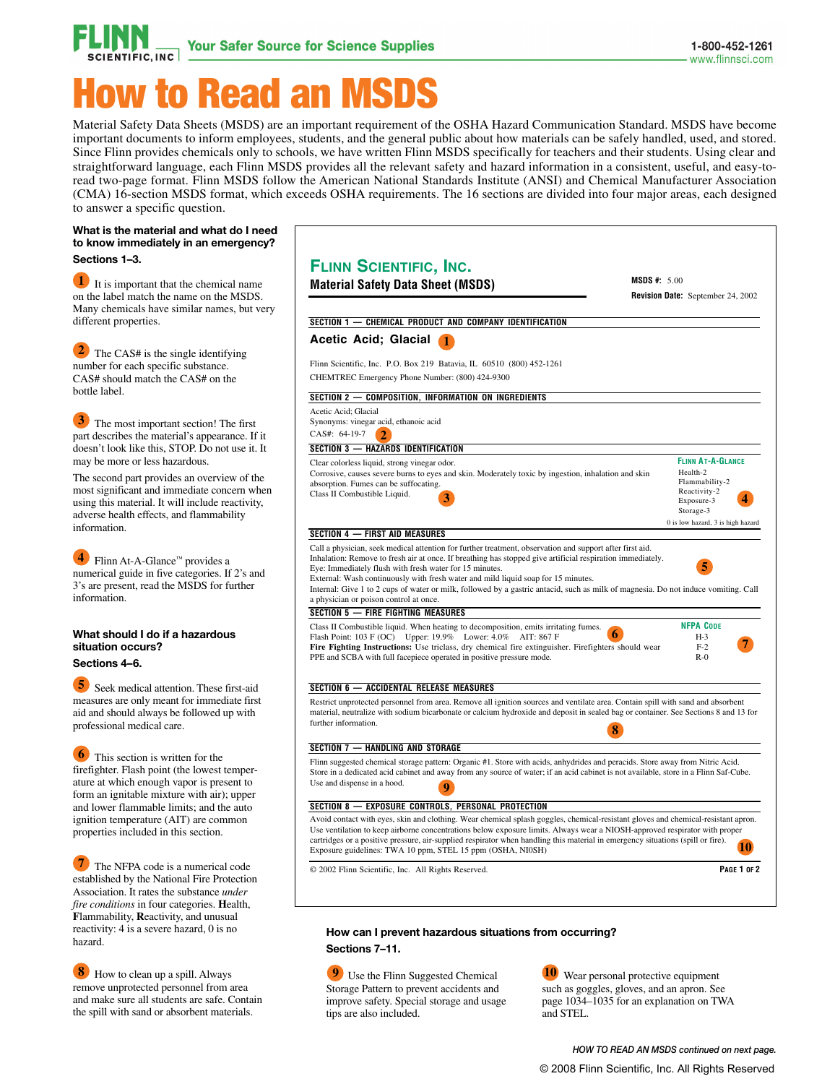

## w to Read an MSD

Material Safety Data Sheets (MSDS) are an important requirement of the OSHA Hazard Communication Standard. MSDS have become important documents to inform employees, students, and the general public about how materials can be safely handled, used, and stored. Since Flinn provides chemicals only to schools, we have written Flinn MSDS specifically for teachers and their students. Using clear and straightforward language, each Flinn MSDS provides all the relevant safety and hazard information in a consistent, useful, and easy-toread two-page format. Flinn MSDS follow the American National Standards Institute (ANSI) and Chemical Manufacturer Association (CMA) 16-section MSDS format, which exceeds OSHA requirements. The 16 sections are divided into four major areas, each designed to answer a specific question.

## **What is the material and what do I need to know immediately in an emergency? Sections 1–3.**

 It is important that the chemical name on the label match the name on the MSDS. Many chemicals have similar names, but very different properties. **1**

**2** The CAS# is the single identifying number for each specific substance. CAS# should match the CAS# on the bottle label.

**3** The most important section! The first part describes the material's appearance. If it doesn't look like this, STOP. Do not use it. It may be more or less hazardous.

The second part provides an overview of the most significant and immediate concern when using this material. It will include reactivity, adverse health effects, and flammability information.

 Flinn At-A-Glance™ provides a numerical guide in five categories. If 2's and 3's are present, read the MSDS for further information. **4**

## **What should I do if a hazardous situation occurs? Sections 4–6.**

 **5** Seek medical attention. These first-aid measures are only meant for immediate first aid and should always be followed up with professional medical care.

**6** This section is written for the firefighter. Flash point (the lowest temperature at which enough vapor is present to form an ignitable mixture with air); upper and lower flammable limits; and the auto ignition temperature (AIT) are common properties included in this section.

The NFPA code is a numerical code established by the National Fire Protection Association. It rates the substance *under fire conditions* in four categories. **H**ealth, **F**lammability, **R**eactivity, and unusual reactivity: 4 is a severe hazard, 0 is no hazard.

**8** How to clean up a spill. Always remove unprotected personnel from area and make sure all students are safe. Contain the spill with sand or absorbent materials.

| <b>Material Safety Data Sheet (MSDS)</b>                                                                                                                                                                                                                                                                                                                                                                                                                                                                                                                                   | <b>MSDS #:</b> $5.00$<br><b>Revision Date:</b> September 24, 2002                                          |  |
|----------------------------------------------------------------------------------------------------------------------------------------------------------------------------------------------------------------------------------------------------------------------------------------------------------------------------------------------------------------------------------------------------------------------------------------------------------------------------------------------------------------------------------------------------------------------------|------------------------------------------------------------------------------------------------------------|--|
| SECTION 1 - CHEMICAL PRODUCT AND COMPANY IDENTIFICATION                                                                                                                                                                                                                                                                                                                                                                                                                                                                                                                    |                                                                                                            |  |
| Acetic Acid; Glacial                                                                                                                                                                                                                                                                                                                                                                                                                                                                                                                                                       |                                                                                                            |  |
| Flinn Scientific, Inc. P.O. Box 219 Batavia, IL 60510 (800) 452-1261<br>CHEMTREC Emergency Phone Number: (800) 424-9300                                                                                                                                                                                                                                                                                                                                                                                                                                                    |                                                                                                            |  |
| SECTION 2 - COMPOSITION, INFORMATION ON INGREDIENTS                                                                                                                                                                                                                                                                                                                                                                                                                                                                                                                        |                                                                                                            |  |
| Acetic Acid; Glacial<br>Synonyms: vinegar acid, ethanoic acid<br>CAS#: 64-19-7<br>$\mathbf{D}$                                                                                                                                                                                                                                                                                                                                                                                                                                                                             |                                                                                                            |  |
| SECTION 3 - HAZARDS IDENTIFICATION                                                                                                                                                                                                                                                                                                                                                                                                                                                                                                                                         | <b>FLINN AT-A-GLANCE</b>                                                                                   |  |
| Clear colorless liquid, strong vinegar odor.<br>Corrosive, causes severe burns to eyes and skin. Moderately toxic by ingestion, inhalation and skin<br>absorption. Fumes can be suffocating.<br>Class II Combustible Liquid.                                                                                                                                                                                                                                                                                                                                               | Health-2<br>Flammability-2<br>Reactivity-2<br>Exposure-3<br>Storage-3<br>0 is low hazard, 3 is high hazard |  |
| <b>SECTION 4 - FIRST AID MEASURES</b>                                                                                                                                                                                                                                                                                                                                                                                                                                                                                                                                      |                                                                                                            |  |
| Eye: Immediately flush with fresh water for 15 minutes.                                                                                                                                                                                                                                                                                                                                                                                                                                                                                                                    |                                                                                                            |  |
| External: Wash continuously with fresh water and mild liquid soap for 15 minutes.<br>Internal: Give 1 to 2 cups of water or milk, followed by a gastric antacid, such as milk of magnesia. Do not induce vomiting. Call<br>a physician or poison control at once.<br><b>SECTION 5 - FIRE FIGHTING MEASURES</b><br>Class II Combustible liquid. When heating to decomposition, emits irritating fumes.<br>Flash Point: 103 F (OC) Upper: 19.9% Lower: 4.0% AIT: 867 F<br>Fire Fighting Instructions: Use triclass, dry chemical fire extinguisher. Firefighters should wear | <b>NFPA CODE</b><br>$H-3$<br>$F-2$                                                                         |  |
| PPE and SCBA with full facepiece operated in positive pressure mode.                                                                                                                                                                                                                                                                                                                                                                                                                                                                                                       | $R-0$                                                                                                      |  |
| SECTION 6 - ACCIDENTAL RELEASE MEASURES                                                                                                                                                                                                                                                                                                                                                                                                                                                                                                                                    |                                                                                                            |  |
| Restrict unprotected personnel from area. Remove all ignition sources and ventilate area. Contain spill with sand and absorbent<br>material, neutralize with sodium bicarbonate or calcium hydroxide and deposit in sealed bag or container. See Sections 8 and 13 for<br>further information.                                                                                                                                                                                                                                                                             |                                                                                                            |  |
| <b>SECTION 7 - HANDLING AND STORAGE</b>                                                                                                                                                                                                                                                                                                                                                                                                                                                                                                                                    |                                                                                                            |  |
| Flinn suggested chemical storage pattern: Organic #1. Store with acids, anhydrides and peracids. Store away from Nitric Acid.<br>Store in a dedicated acid cabinet and away from any source of water; if an acid cabinet is not available, store in a Flinn Saf-Cube.<br>Use and dispense in a hood.                                                                                                                                                                                                                                                                       |                                                                                                            |  |
| SECTION 8 - EXPOSURE CONTROLS, PERSONAL PROTECTION                                                                                                                                                                                                                                                                                                                                                                                                                                                                                                                         |                                                                                                            |  |
| Avoid contact with eyes, skin and clothing. Wear chemical splash goggles, chemical-resistant gloves and chemical-resistant apron.<br>Use ventilation to keep airborne concentrations below exposure limits. Always wear a NIOSH-approved respirator with proper<br>cartridges or a positive pressure, air-supplied respirator when handling this material in emergency situations (spill or fire).<br>Exposure guidelines: TWA 10 ppm, STEL 15 ppm (OSHA, NI0SH)                                                                                                           |                                                                                                            |  |

**How can I prevent hazardous situations from occurring? Sections 7–11.**

 Use the Flinn Suggested Chemical **9 10** Storage Pattern to prevent accidents and improve safety. Special storage and usage tips are also included.

**10** Wear personal protective equipment such as goggles, gloves, and an apron. See page 1034–1035 for an explanation on TWA and STEL.

*HOW TO READ AN MSDS continued on next page.* © 2008 Flinn Scientific, Inc. All Rights Reserved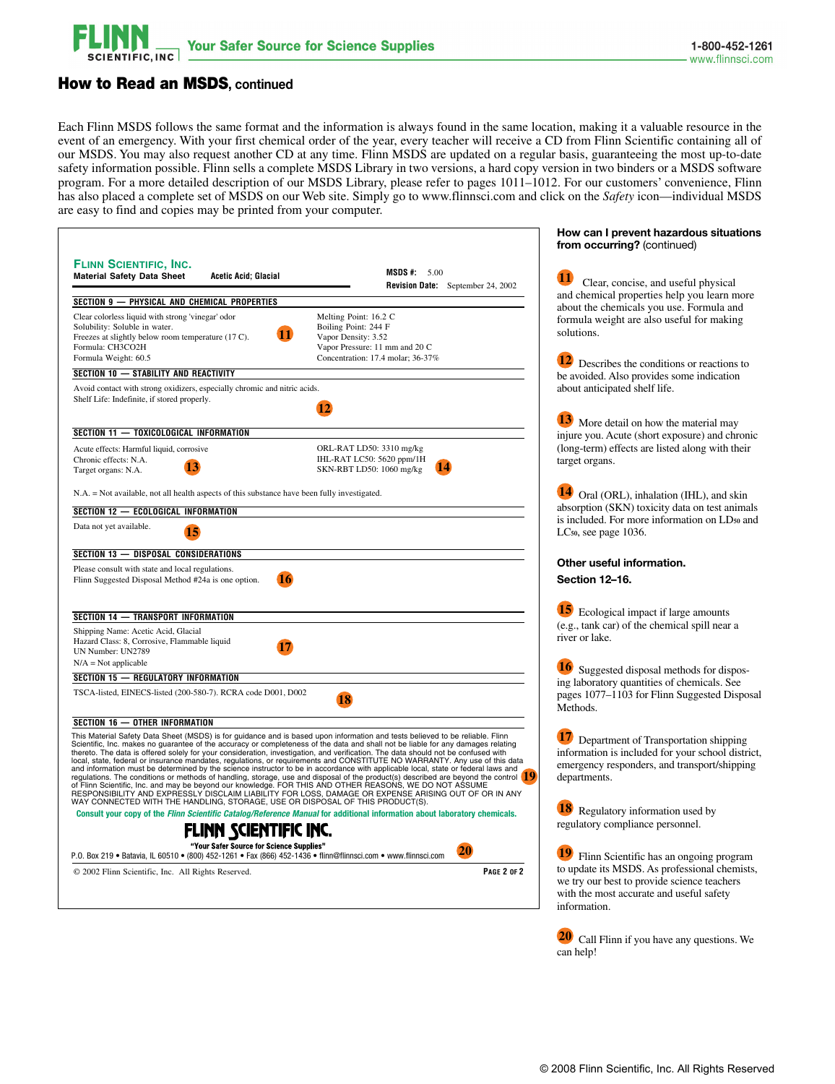

**How can I prevent hazardous situations** 

┑

## How to Read an MSDS**, continued**

Each Flinn MSDS follows the same format and the information is always found in the same location, making it a valuable resource in the event of an emergency. With your first chemical order of the year, every teacher will receive a CD from Flinn Scientific containing all of our MSDS. You may also request another CD at any time. Flinn MSDS are updated on a regular basis, guaranteeing the most up-to-date safety information possible. Flinn sells a complete MSDS Library in two versions, a hard copy version in two binders or a MSDS software program. For a more detailed description of our MSDS Library, please refer to pages 1011–1012. For our customers' convenience, Flinn has also placed a complete set of MSDS on our Web site. Simply go to www.flinnsci.com and click on the *Safety* icon—individual MSDS are easy to find and copies may be printed from your computer.

|                                                                                                                                                                                                                                                                                                                                                                                                                                                                                                                                                                                                                                                                                                                                                                                                                                                                                                                                                                                                               |                                                                                                                                             | from occurring? (continued)                                                                                                                                |  |
|---------------------------------------------------------------------------------------------------------------------------------------------------------------------------------------------------------------------------------------------------------------------------------------------------------------------------------------------------------------------------------------------------------------------------------------------------------------------------------------------------------------------------------------------------------------------------------------------------------------------------------------------------------------------------------------------------------------------------------------------------------------------------------------------------------------------------------------------------------------------------------------------------------------------------------------------------------------------------------------------------------------|---------------------------------------------------------------------------------------------------------------------------------------------|------------------------------------------------------------------------------------------------------------------------------------------------------------|--|
| <b>FLINN SCIENTIFIC, INC.</b><br><b>Material Safety Data Sheet</b><br><b>Acetic Acid</b> ; Glacial                                                                                                                                                                                                                                                                                                                                                                                                                                                                                                                                                                                                                                                                                                                                                                                                                                                                                                            | <b>MSDS</b> #: $5.00$<br>Revision Date: September 24, 2002                                                                                  | 11<br>Clear, concise, and useful physical<br>and chemical properties help you learn more                                                                   |  |
| SECTION 9 - PHYSICAL AND CHEMICAL PROPERTIES                                                                                                                                                                                                                                                                                                                                                                                                                                                                                                                                                                                                                                                                                                                                                                                                                                                                                                                                                                  |                                                                                                                                             | about the chemicals you use. Formula and                                                                                                                   |  |
| Clear colorless liquid with strong 'vinegar' odor<br>Solubility: Soluble in water.<br>Freezes at slightly below room temperature (17 C).<br>Formula: CH3CO2H<br>Formula Weight: 60.5                                                                                                                                                                                                                                                                                                                                                                                                                                                                                                                                                                                                                                                                                                                                                                                                                          | Melting Point: 16.2 C<br>Boiling Point: 244 F<br>Vapor Density: 3.52<br>Vapor Pressure: 11 mm and 20 C<br>Concentration: 17.4 molar; 36-37% | formula weight are also useful for making<br>solutions.<br>Describes the conditions or reactions to                                                        |  |
| SECTION 10 - STABILITY AND REACTIVITY                                                                                                                                                                                                                                                                                                                                                                                                                                                                                                                                                                                                                                                                                                                                                                                                                                                                                                                                                                         |                                                                                                                                             | be avoided. Also provides some indication                                                                                                                  |  |
| Avoid contact with strong oxidizers, especially chromic and nitric acids.<br>Shelf Life: Indefinite, if stored properly.                                                                                                                                                                                                                                                                                                                                                                                                                                                                                                                                                                                                                                                                                                                                                                                                                                                                                      |                                                                                                                                             | about anticipated shelf life.                                                                                                                              |  |
| SECTION 11 - TOXICOLOGICAL INFORMATION                                                                                                                                                                                                                                                                                                                                                                                                                                                                                                                                                                                                                                                                                                                                                                                                                                                                                                                                                                        |                                                                                                                                             | More detail on how the material may<br>injure you. Acute (short exposure) and chronic                                                                      |  |
| Acute effects: Harmful liquid, corrosive<br>Chronic effects: N.A.<br>13<br>Target organs: N.A.                                                                                                                                                                                                                                                                                                                                                                                                                                                                                                                                                                                                                                                                                                                                                                                                                                                                                                                | ORL-RAT LD50: 3310 mg/kg<br>IHL-RAT LC50: 5620 ppm/1H<br>SKN-RBT LD50: 1060 mg/kg                                                           | (long-term) effects are listed along with their<br>target organs.                                                                                          |  |
| N.A. = Not available, not all health aspects of this substance have been fully investigated.                                                                                                                                                                                                                                                                                                                                                                                                                                                                                                                                                                                                                                                                                                                                                                                                                                                                                                                  | Oral (ORL), inhalation (IHL), and skin<br>absorption (SKN) toxicity data on test animals<br>is included. For more information on LDso and   |                                                                                                                                                            |  |
| SECTION 12 - ECOLOGICAL INFORMATION                                                                                                                                                                                                                                                                                                                                                                                                                                                                                                                                                                                                                                                                                                                                                                                                                                                                                                                                                                           |                                                                                                                                             |                                                                                                                                                            |  |
| Data not yet available.<br>15                                                                                                                                                                                                                                                                                                                                                                                                                                                                                                                                                                                                                                                                                                                                                                                                                                                                                                                                                                                 |                                                                                                                                             | LC <sub>50</sub> , see page 1036.                                                                                                                          |  |
| <b>SECTION 13 - DISPOSAL CONSIDERATIONS</b>                                                                                                                                                                                                                                                                                                                                                                                                                                                                                                                                                                                                                                                                                                                                                                                                                                                                                                                                                                   |                                                                                                                                             |                                                                                                                                                            |  |
| Please consult with state and local regulations.<br>Flinn Suggested Disposal Method #24a is one option.<br>16                                                                                                                                                                                                                                                                                                                                                                                                                                                                                                                                                                                                                                                                                                                                                                                                                                                                                                 |                                                                                                                                             | Other useful information.<br>Section 12-16.                                                                                                                |  |
| SECTION 14 - TRANSPORT INFORMATION<br>Shipping Name: Acetic Acid, Glacial<br>Hazard Class: 8, Corrosive, Flammable liquid<br>UN Number: UN2789                                                                                                                                                                                                                                                                                                                                                                                                                                                                                                                                                                                                                                                                                                                                                                                                                                                                |                                                                                                                                             | 15<br>Ecological impact if large amounts<br>(e.g., tank car) of the chemical spill near a<br>river or lake.                                                |  |
| $N/A = Not$ applicable                                                                                                                                                                                                                                                                                                                                                                                                                                                                                                                                                                                                                                                                                                                                                                                                                                                                                                                                                                                        |                                                                                                                                             | Suggested disposal methods for dispos-                                                                                                                     |  |
| <b>SECTION 15 - REGULATORY INFORMATION</b>                                                                                                                                                                                                                                                                                                                                                                                                                                                                                                                                                                                                                                                                                                                                                                                                                                                                                                                                                                    |                                                                                                                                             | ing laboratory quantities of chemicals. See                                                                                                                |  |
| TSCA-listed, EINECS-listed (200-580-7). RCRA code D001, D002                                                                                                                                                                                                                                                                                                                                                                                                                                                                                                                                                                                                                                                                                                                                                                                                                                                                                                                                                  |                                                                                                                                             | pages 1077–1103 for Flinn Suggested Disposal<br>Methods.                                                                                                   |  |
| SECTION 16 - OTHER INFORMATION                                                                                                                                                                                                                                                                                                                                                                                                                                                                                                                                                                                                                                                                                                                                                                                                                                                                                                                                                                                |                                                                                                                                             |                                                                                                                                                            |  |
| This Material Safety Data Sheet (MSDS) is for guidance and is based upon information and tests believed to be reliable. Flinn<br>Scientific, Inc. makes no guarantee of the accuracy or completeness of the data and shall not be liable for any damages relating<br>thereto. The data is offered solely for your consideration, investigation, and verification. The data should not be confused with<br>local, state, federal or insurance mandates, regulations, or requirements and CONSTITUTE NO WARRANTY. Any use of this data<br>and information must be determined by the science instructor to be in accordance with applicable local, state or federal laws and regulations. The conditions or methods of handling, storage, use and disposal of the produc<br>regulators. The containers of intensity and the beyond our knowledge. FOR THIS AND OTHER REASONS, WE DO NOT ASSUME<br>RESPONSIBILITY AND EXPRESSLY DISCLAIM LIABILITY FOR LOSS, DAMAGE OR EXPENSE ARISING OUT OF OR IN ANY<br>WAY CO |                                                                                                                                             | Department of Transportation shipping<br>information is included for your school district,<br>emergency responders, and transport/shipping<br>departments. |  |
| Consult your copy of the Flinn Scientific Catalog/Reference Manual for additional information about laboratory chemicals.                                                                                                                                                                                                                                                                                                                                                                                                                                                                                                                                                                                                                                                                                                                                                                                                                                                                                     |                                                                                                                                             | 18 Regulatory information used by                                                                                                                          |  |
| FLINN SCIENTIFIC INC.                                                                                                                                                                                                                                                                                                                                                                                                                                                                                                                                                                                                                                                                                                                                                                                                                                                                                                                                                                                         |                                                                                                                                             | regulatory compliance personnel.                                                                                                                           |  |
| "Your Safer Source for Science Supplies"<br>P.O. Box 219 . Batavia, IL 60510 . (800) 452-1261 . Fax (866) 452-1436 . flinn@flinnsci.com . www.flinnsci.com                                                                                                                                                                                                                                                                                                                                                                                                                                                                                                                                                                                                                                                                                                                                                                                                                                                    | 20                                                                                                                                          | Flinn Scientific has an ongoing program                                                                                                                    |  |
| © 2002 Flinn Scientific, Inc. All Rights Reserved.                                                                                                                                                                                                                                                                                                                                                                                                                                                                                                                                                                                                                                                                                                                                                                                                                                                                                                                                                            | <b>PAGE 2 OF 2</b>                                                                                                                          | to update its MSDS. As professional chemists,<br>we try our best to provide science teachers<br>with the most accurate and useful safety                   |  |
|                                                                                                                                                                                                                                                                                                                                                                                                                                                                                                                                                                                                                                                                                                                                                                                                                                                                                                                                                                                                               |                                                                                                                                             | information.                                                                                                                                               |  |

 **20** Call Flinn if you have any questions. We can help!